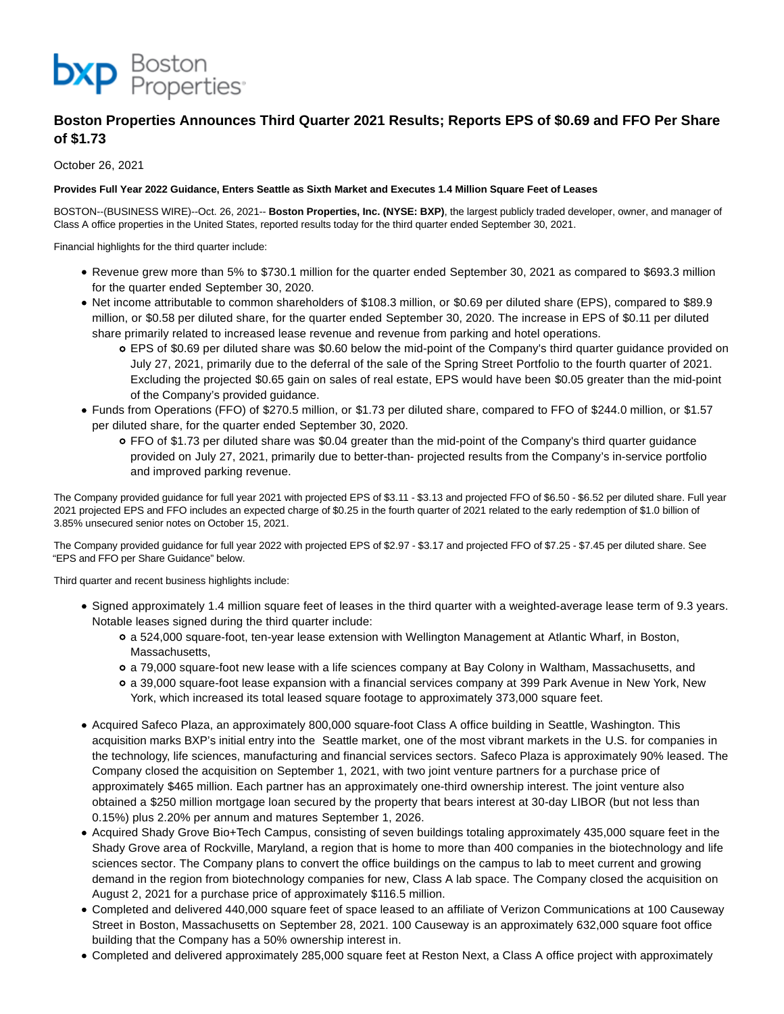

# **Boston Properties Announces Third Quarter 2021 Results; Reports EPS of \$0.69 and FFO Per Share of \$1.73**

October 26, 2021

# **Provides Full Year 2022 Guidance, Enters Seattle as Sixth Market and Executes 1.4 Million Square Feet of Leases**

BOSTON--(BUSINESS WIRE)--Oct. 26, 2021-- **Boston Properties, Inc. (NYSE: BXP)**, the largest publicly traded developer, owner, and manager of Class A office properties in the United States, reported results today for the third quarter ended September 30, 2021.

Financial highlights for the third quarter include:

- Revenue grew more than 5% to \$730.1 million for the quarter ended September 30, 2021 as compared to \$693.3 million for the quarter ended September 30, 2020.
- Net income attributable to common shareholders of \$108.3 million, or \$0.69 per diluted share (EPS), compared to \$89.9 million, or \$0.58 per diluted share, for the quarter ended September 30, 2020. The increase in EPS of \$0.11 per diluted share primarily related to increased lease revenue and revenue from parking and hotel operations.
	- EPS of \$0.69 per diluted share was \$0.60 below the mid-point of the Company's third quarter guidance provided on July 27, 2021, primarily due to the deferral of the sale of the Spring Street Portfolio to the fourth quarter of 2021. Excluding the projected \$0.65 gain on sales of real estate, EPS would have been \$0.05 greater than the mid-point of the Company's provided guidance.
- Funds from Operations (FFO) of \$270.5 million, or \$1.73 per diluted share, compared to FFO of \$244.0 million, or \$1.57 per diluted share, for the quarter ended September 30, 2020.
	- FFO of \$1.73 per diluted share was \$0.04 greater than the mid-point of the Company's third quarter guidance provided on July 27, 2021, primarily due to better-than- projected results from the Company's in-service portfolio and improved parking revenue.

The Company provided guidance for full year 2021 with projected EPS of \$3.11 - \$3.13 and projected FFO of \$6.50 - \$6.52 per diluted share. Full year 2021 projected EPS and FFO includes an expected charge of \$0.25 in the fourth quarter of 2021 related to the early redemption of \$1.0 billion of 3.85% unsecured senior notes on October 15, 2021.

The Company provided guidance for full year 2022 with projected EPS of \$2.97 - \$3.17 and projected FFO of \$7.25 - \$7.45 per diluted share. See "EPS and FFO per Share Guidance" below.

Third quarter and recent business highlights include:

- Signed approximately 1.4 million square feet of leases in the third quarter with a weighted-average lease term of 9.3 years. Notable leases signed during the third quarter include:
	- a 524,000 square-foot, ten-year lease extension with Wellington Management at Atlantic Wharf, in Boston, Massachusetts,
	- a 79,000 square-foot new lease with a life sciences company at Bay Colony in Waltham, Massachusetts, and
	- a 39,000 square-foot lease expansion with a financial services company at 399 Park Avenue in New York, New York, which increased its total leased square footage to approximately 373,000 square feet.
- Acquired Safeco Plaza, an approximately 800,000 square-foot Class A office building in Seattle, Washington. This acquisition marks BXP's initial entry into the Seattle market, one of the most vibrant markets in the U.S. for companies in the technology, life sciences, manufacturing and financial services sectors. Safeco Plaza is approximately 90% leased. The Company closed the acquisition on September 1, 2021, with two joint venture partners for a purchase price of approximately \$465 million. Each partner has an approximately one-third ownership interest. The joint venture also obtained a \$250 million mortgage loan secured by the property that bears interest at 30-day LIBOR (but not less than 0.15%) plus 2.20% per annum and matures September 1, 2026.
- Acquired Shady Grove Bio+Tech Campus, consisting of seven buildings totaling approximately 435,000 square feet in the Shady Grove area of Rockville, Maryland, a region that is home to more than 400 companies in the biotechnology and life sciences sector. The Company plans to convert the office buildings on the campus to lab to meet current and growing demand in the region from biotechnology companies for new, Class A lab space. The Company closed the acquisition on August 2, 2021 for a purchase price of approximately \$116.5 million.
- Completed and delivered 440,000 square feet of space leased to an affiliate of Verizon Communications at 100 Causeway Street in Boston, Massachusetts on September 28, 2021. 100 Causeway is an approximately 632,000 square foot office building that the Company has a 50% ownership interest in.
- Completed and delivered approximately 285,000 square feet at Reston Next, a Class A office project with approximately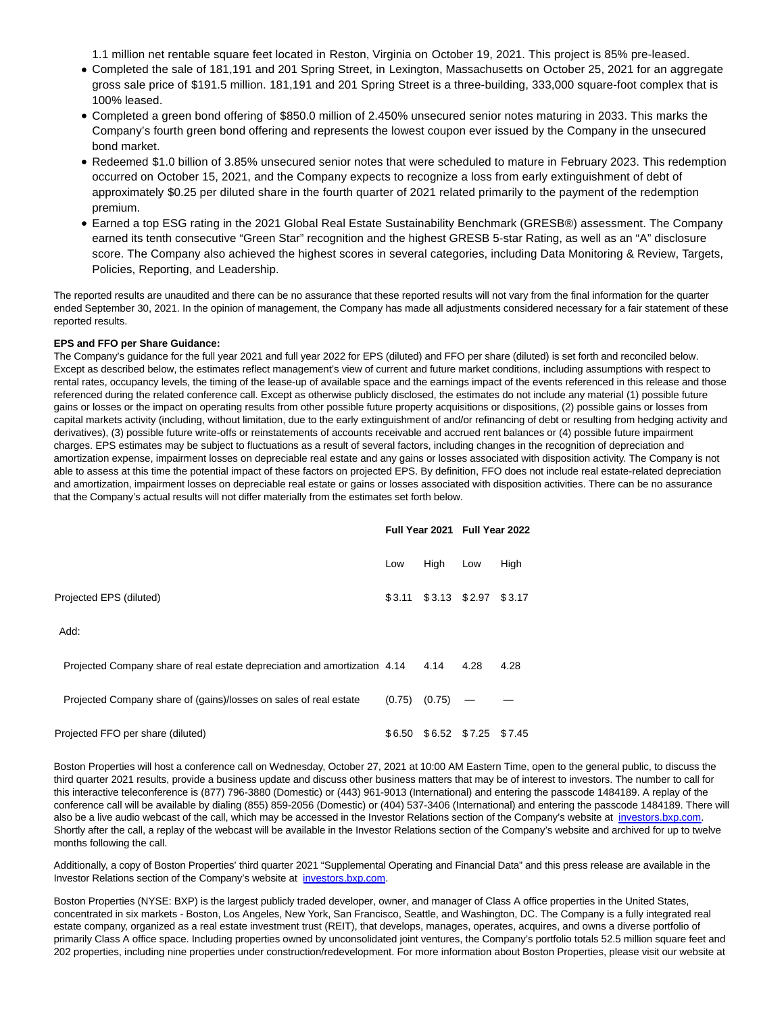1.1 million net rentable square feet located in Reston, Virginia on October 19, 2021. This project is 85% pre-leased.

- Completed the sale of 181,191 and 201 Spring Street, in Lexington, Massachusetts on October 25, 2021 for an aggregate gross sale price of \$191.5 million. 181,191 and 201 Spring Street is a three-building, 333,000 square-foot complex that is 100% leased.
- Completed a green bond offering of \$850.0 million of 2.450% unsecured senior notes maturing in 2033. This marks the Company's fourth green bond offering and represents the lowest coupon ever issued by the Company in the unsecured bond market.
- Redeemed \$1.0 billion of 3.85% unsecured senior notes that were scheduled to mature in February 2023. This redemption occurred on October 15, 2021, and the Company expects to recognize a loss from early extinguishment of debt of approximately \$0.25 per diluted share in the fourth quarter of 2021 related primarily to the payment of the redemption premium.
- Earned a top ESG rating in the 2021 Global Real Estate Sustainability Benchmark (GRESB®) assessment. The Company earned its tenth consecutive "Green Star" recognition and the highest GRESB 5-star Rating, as well as an "A" disclosure score. The Company also achieved the highest scores in several categories, including Data Monitoring & Review, Targets, Policies, Reporting, and Leadership.

The reported results are unaudited and there can be no assurance that these reported results will not vary from the final information for the quarter ended September 30, 2021. In the opinion of management, the Company has made all adjustments considered necessary for a fair statement of these reported results.

# **EPS and FFO per Share Guidance:**

The Company's guidance for the full year 2021 and full year 2022 for EPS (diluted) and FFO per share (diluted) is set forth and reconciled below. Except as described below, the estimates reflect management's view of current and future market conditions, including assumptions with respect to rental rates, occupancy levels, the timing of the lease-up of available space and the earnings impact of the events referenced in this release and those referenced during the related conference call. Except as otherwise publicly disclosed, the estimates do not include any material (1) possible future gains or losses or the impact on operating results from other possible future property acquisitions or dispositions, (2) possible gains or losses from capital markets activity (including, without limitation, due to the early extinguishment of and/or refinancing of debt or resulting from hedging activity and derivatives), (3) possible future write-offs or reinstatements of accounts receivable and accrued rent balances or (4) possible future impairment charges. EPS estimates may be subject to fluctuations as a result of several factors, including changes in the recognition of depreciation and amortization expense, impairment losses on depreciable real estate and any gains or losses associated with disposition activity. The Company is not able to assess at this time the potential impact of these factors on projected EPS. By definition, FFO does not include real estate-related depreciation and amortization, impairment losses on depreciable real estate or gains or losses associated with disposition activities. There can be no assurance that the Company's actual results will not differ materially from the estimates set forth below.

|                                                                           | Full Year 2021 Full Year 2022 |        |                      |      |
|---------------------------------------------------------------------------|-------------------------------|--------|----------------------|------|
|                                                                           | Low                           | High   | Low                  | High |
| Projected EPS (diluted)                                                   | \$3.11                        |        | \$3.13 \$2.97 \$3.17 |      |
| Add:                                                                      |                               |        |                      |      |
| Projected Company share of real estate depreciation and amortization 4.14 |                               | 4.14   | 4.28                 | 4.28 |
| Projected Company share of (gains)/losses on sales of real estate         | (0.75)                        | (0.75) |                      |      |
| Projected FFO per share (diluted)                                         | \$6.50                        |        | \$6.52 \$7.25 \$7.45 |      |

Boston Properties will host a conference call on Wednesday, October 27, 2021 at 10:00 AM Eastern Time, open to the general public, to discuss the third quarter 2021 results, provide a business update and discuss other business matters that may be of interest to investors. The number to call for this interactive teleconference is (877) 796-3880 (Domestic) or (443) 961-9013 (International) and entering the passcode 1484189. A replay of the conference call will be available by dialing (855) 859-2056 (Domestic) or (404) 537-3406 (International) and entering the passcode 1484189. There will also be a live audio webcast of the call, which may be accessed in the Investor Relations section of the Company's website at [investors.bxp.com.](https://cts.businesswire.com/ct/CT?id=smartlink&url=https%3A%2F%2Finvestors.bxp.com%2F&esheet=52516052&newsitemid=20211026006293&lan=en-US&anchor=investors.bxp.com&index=1&md5=b7557b6e7a43f86a8013a8661c30630c) Shortly after the call, a replay of the webcast will be available in the Investor Relations section of the Company's website and archived for up to twelve months following the call.

Additionally, a copy of Boston Properties' third quarter 2021 "Supplemental Operating and Financial Data" and this press release are available in the Investor Relations section of the Company's website at [investors.bxp.com.](https://cts.businesswire.com/ct/CT?id=smartlink&url=https%3A%2F%2Finvestors.bxp.com%2F&esheet=52516052&newsitemid=20211026006293&lan=en-US&anchor=investors.bxp.com&index=2&md5=1d69cdc39bca1505584825c288331cee)

Boston Properties (NYSE: BXP) is the largest publicly traded developer, owner, and manager of Class A office properties in the United States, concentrated in six markets - Boston, Los Angeles, New York, San Francisco, Seattle, and Washington, DC. The Company is a fully integrated real estate company, organized as a real estate investment trust (REIT), that develops, manages, operates, acquires, and owns a diverse portfolio of primarily Class A office space. Including properties owned by unconsolidated joint ventures, the Company's portfolio totals 52.5 million square feet and 202 properties, including nine properties under construction/redevelopment. For more information about Boston Properties, please visit our website at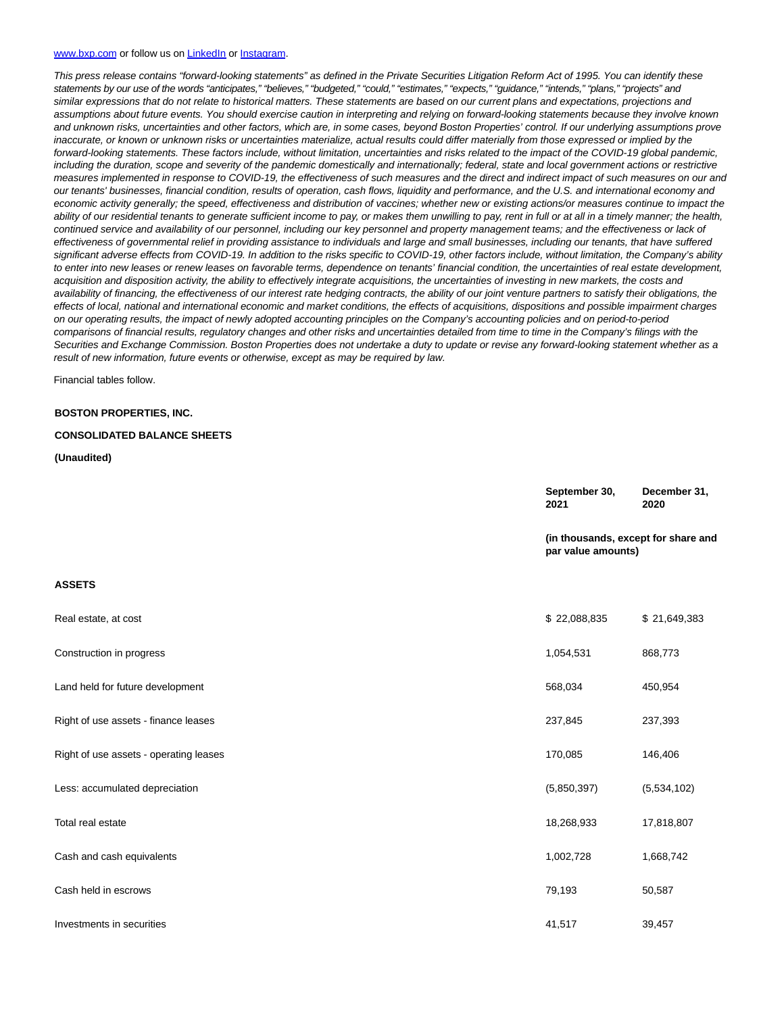#### [www.bxp.com o](https://cts.businesswire.com/ct/CT?id=smartlink&url=http%3A%2F%2Fwww.bxp.com&esheet=52516052&newsitemid=20211026006293&lan=en-US&anchor=www.bxp.com&index=3&md5=40e93dbd1ba4d97c4ed7e8c0fb5910a8)r follow us o[n LinkedIn o](https://cts.businesswire.com/ct/CT?id=smartlink&url=https%3A%2F%2Fwww.linkedin.com%2Fcompany%2Fboston-properties&esheet=52516052&newsitemid=20211026006293&lan=en-US&anchor=LinkedIn&index=4&md5=df8478d09390c6611ed9a0484990d883)r [Instagram.](https://cts.businesswire.com/ct/CT?id=smartlink&url=https%3A%2F%2Fwww.instagram.com%2Fbxpbostonproperties%2F%3Fhl%3Den&esheet=52516052&newsitemid=20211026006293&lan=en-US&anchor=Instagram&index=5&md5=e29ac34b333b42c429e2dfab0892b6b5)

This press release contains "forward-looking statements" as defined in the Private Securities Litigation Reform Act of 1995. You can identify these statements by our use of the words "anticipates," "believes," "budgeted," "could," "estimates," "expects," "guidance," "intends," "plans," "projects" and similar expressions that do not relate to historical matters. These statements are based on our current plans and expectations, projections and assumptions about future events. You should exercise caution in interpreting and relying on forward-looking statements because they involve known and unknown risks, uncertainties and other factors, which are, in some cases, beyond Boston Properties' control. If our underlying assumptions prove inaccurate, or known or unknown risks or uncertainties materialize, actual results could differ materially from those expressed or implied by the forward-looking statements. These factors include, without limitation, uncertainties and risks related to the impact of the COVID-19 global pandemic, including the duration, scope and severity of the pandemic domestically and internationally; federal, state and local government actions or restrictive measures implemented in response to COVID-19, the effectiveness of such measures and the direct and indirect impact of such measures on our and our tenants' businesses, financial condition, results of operation, cash flows, liquidity and performance, and the U.S. and international economy and economic activity generally; the speed, effectiveness and distribution of vaccines; whether new or existing actions/or measures continue to impact the ability of our residential tenants to generate sufficient income to pay, or makes them unwilling to pay, rent in full or at all in a timely manner; the health, continued service and availability of our personnel, including our key personnel and property management teams; and the effectiveness or lack of effectiveness of governmental relief in providing assistance to individuals and large and small businesses, including our tenants, that have suffered significant adverse effects from COVID-19. In addition to the risks specific to COVID-19, other factors include, without limitation, the Company's ability to enter into new leases or renew leases on favorable terms, dependence on tenants' financial condition, the uncertainties of real estate development, acquisition and disposition activity, the ability to effectively integrate acquisitions, the uncertainties of investing in new markets, the costs and availability of financing, the effectiveness of our interest rate hedging contracts, the ability of our joint venture partners to satisfy their obligations, the effects of local, national and international economic and market conditions, the effects of acquisitions, dispositions and possible impairment charges on our operating results, the impact of newly adopted accounting principles on the Company's accounting policies and on period-to-period comparisons of financial results, regulatory changes and other risks and uncertainties detailed from time to time in the Company's filings with the Securities and Exchange Commission. Boston Properties does not undertake a duty to update or revise any forward-looking statement whether as a result of new information, future events or otherwise, except as may be required by law.

Financial tables follow.

#### **BOSTON PROPERTIES, INC.**

#### **CONSOLIDATED BALANCE SHEETS**

**(Unaudited)**

|                                        | September 30,<br>2021                                     | December 31,<br>2020 |
|----------------------------------------|-----------------------------------------------------------|----------------------|
|                                        | (in thousands, except for share and<br>par value amounts) |                      |
| <b>ASSETS</b>                          |                                                           |                      |
| Real estate, at cost                   | \$22,088,835                                              | \$21,649,383         |
| Construction in progress               | 1,054,531                                                 | 868,773              |
| Land held for future development       | 568,034                                                   | 450,954              |
| Right of use assets - finance leases   | 237,845                                                   | 237,393              |
| Right of use assets - operating leases | 170,085                                                   | 146,406              |
| Less: accumulated depreciation         | (5,850,397)                                               | (5,534,102)          |
| Total real estate                      | 18,268,933                                                | 17,818,807           |
| Cash and cash equivalents              | 1,002,728                                                 | 1,668,742            |
| Cash held in escrows                   | 79,193                                                    | 50,587               |
| Investments in securities              | 41,517                                                    | 39,457               |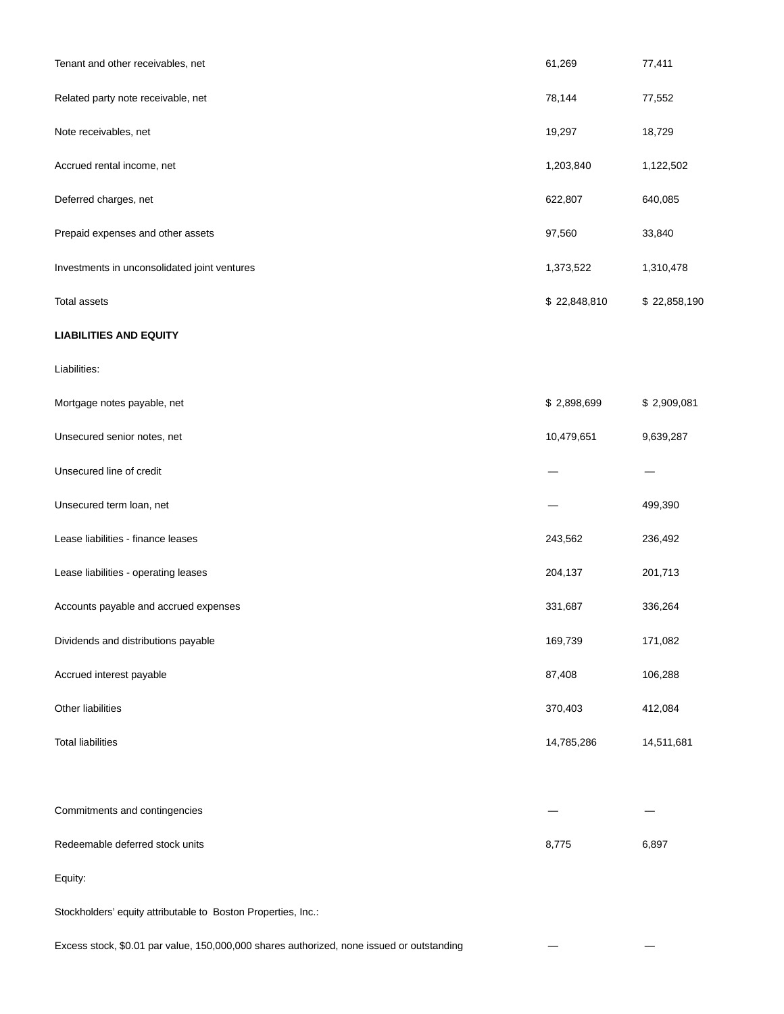| Tenant and other receivables, net            | 61,269       | 77,411       |
|----------------------------------------------|--------------|--------------|
| Related party note receivable, net           | 78,144       | 77,552       |
| Note receivables, net                        | 19,297       | 18,729       |
| Accrued rental income, net                   | 1,203,840    | 1,122,502    |
| Deferred charges, net                        | 622,807      | 640,085      |
| Prepaid expenses and other assets            | 97,560       | 33,840       |
| Investments in unconsolidated joint ventures | 1,373,522    | 1,310,478    |
| <b>Total assets</b>                          | \$22,848,810 | \$22,858,190 |
| <b>LIABILITIES AND EQUITY</b>                |              |              |
| Liabilities:                                 |              |              |
| Mortgage notes payable, net                  | \$2,898,699  | \$2,909,081  |
| Unsecured senior notes, net                  | 10,479,651   | 9,639,287    |
| Unsecured line of credit                     |              |              |
| Unsecured term loan, net                     |              | 499,390      |
| Lease liabilities - finance leases           | 243,562      | 236,492      |
| Lease liabilities - operating leases         | 204,137      | 201,713      |
| Accounts payable and accrued expenses        | 331,687      | 336,264      |
| Dividends and distributions payable          | 169,739      | 171,082      |
| Accrued interest payable                     | 87,408       | 106,288      |
| Other liabilities                            | 370,403      | 412,084      |
| <b>Total liabilities</b>                     | 14,785,286   | 14,511,681   |
|                                              |              |              |
| Commitments and contingencies                |              |              |
| Redeemable deferred stock units              | 8,775        | 6,897        |
| Equity:                                      |              |              |

Stockholders' equity attributable to Boston Properties, Inc.:

Excess stock, \$0.01 par value, 150,000,000 shares authorized, none issued or outstanding — —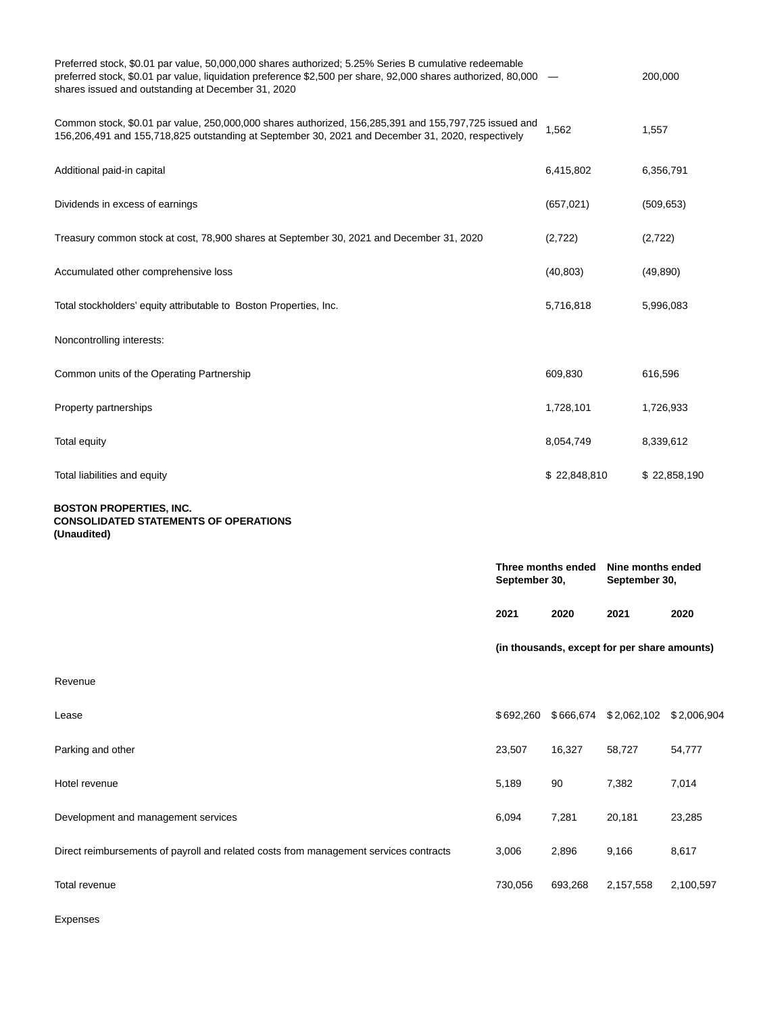| Preferred stock, \$0.01 par value, 50,000,000 shares authorized; 5.25% Series B cumulative redeemable<br>preferred stock, \$0.01 par value, liquidation preference \$2,500 per share, 92,000 shares authorized, 80,000 -<br>shares issued and outstanding at December 31, 2020 |               |                                              |               | 200,000           |  |
|--------------------------------------------------------------------------------------------------------------------------------------------------------------------------------------------------------------------------------------------------------------------------------|---------------|----------------------------------------------|---------------|-------------------|--|
| Common stock, \$0.01 par value, 250,000,000 shares authorized, 156,285,391 and 155,797,725 issued and<br>156,206,491 and 155,718,825 outstanding at September 30, 2021 and December 31, 2020, respectively                                                                     |               | 1,562                                        |               | 1,557             |  |
| Additional paid-in capital                                                                                                                                                                                                                                                     |               | 6,415,802                                    |               | 6,356,791         |  |
| Dividends in excess of earnings                                                                                                                                                                                                                                                |               | (657, 021)                                   |               | (509, 653)        |  |
| Treasury common stock at cost, 78,900 shares at September 30, 2021 and December 31, 2020                                                                                                                                                                                       |               | (2,722)                                      |               | (2,722)           |  |
| Accumulated other comprehensive loss                                                                                                                                                                                                                                           |               | (40, 803)                                    |               | (49, 890)         |  |
| Total stockholders' equity attributable to Boston Properties, Inc.                                                                                                                                                                                                             |               | 5,716,818                                    |               | 5,996,083         |  |
| Noncontrolling interests:                                                                                                                                                                                                                                                      |               |                                              |               |                   |  |
| Common units of the Operating Partnership                                                                                                                                                                                                                                      |               | 609,830                                      |               | 616,596           |  |
| Property partnerships                                                                                                                                                                                                                                                          |               | 1,728,101                                    |               | 1,726,933         |  |
| Total equity                                                                                                                                                                                                                                                                   |               | 8,054,749                                    |               | 8,339,612         |  |
| Total liabilities and equity                                                                                                                                                                                                                                                   |               | \$22,848,810                                 |               | \$22,858,190      |  |
| <b>BOSTON PROPERTIES, INC.</b><br><b>CONSOLIDATED STATEMENTS OF OPERATIONS</b><br>(Unaudited)                                                                                                                                                                                  |               |                                              |               |                   |  |
|                                                                                                                                                                                                                                                                                | September 30, | Three months ended                           | September 30, | Nine months ended |  |
|                                                                                                                                                                                                                                                                                | 2021          | 2020                                         | 2021          | 2020              |  |
|                                                                                                                                                                                                                                                                                |               | (in thousands, except for per share amounts) |               |                   |  |
| Revenue                                                                                                                                                                                                                                                                        |               |                                              |               |                   |  |
| Lease                                                                                                                                                                                                                                                                          | \$692,260     | \$666,674                                    | \$2,062,102   | \$2,006,904       |  |
| Parking and other                                                                                                                                                                                                                                                              | 23,507        | 16,327                                       | 58,727        | 54,777            |  |
| Hotel revenue                                                                                                                                                                                                                                                                  | 5,189         | 90                                           | 7,382         | 7,014             |  |
| Development and management services                                                                                                                                                                                                                                            | 6,094         | 7,281                                        | 20,181        | 23,285            |  |
| Direct reimbursements of payroll and related costs from management services contracts                                                                                                                                                                                          | 3,006         | 2,896                                        | 9,166         | 8,617             |  |
| Total revenue                                                                                                                                                                                                                                                                  | 730,056       | 693,268                                      | 2,157,558     | 2,100,597         |  |
| Expenses                                                                                                                                                                                                                                                                       |               |                                              |               |                   |  |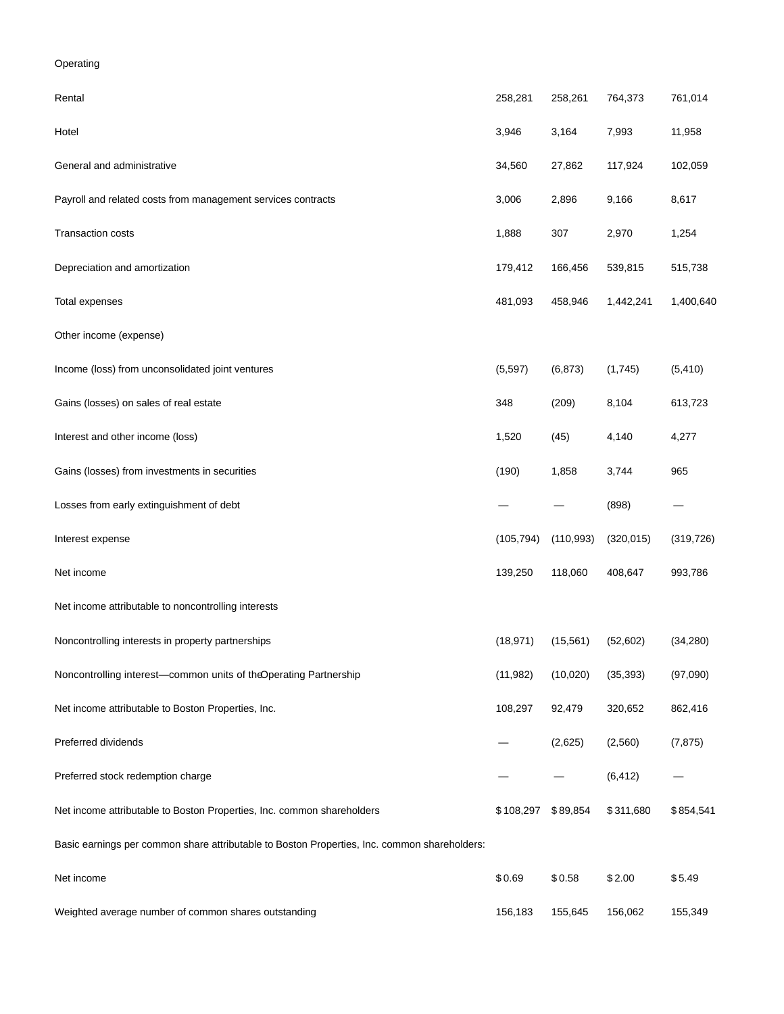# Operating

| Rental                                                                                       | 258,281    | 258,261    | 764,373    | 761,014    |
|----------------------------------------------------------------------------------------------|------------|------------|------------|------------|
| Hotel                                                                                        | 3,946      | 3,164      | 7,993      | 11,958     |
| General and administrative                                                                   | 34,560     | 27,862     | 117,924    | 102,059    |
| Payroll and related costs from management services contracts                                 | 3,006      | 2,896      | 9,166      | 8,617      |
| Transaction costs                                                                            | 1,888      | 307        | 2,970      | 1,254      |
| Depreciation and amortization                                                                | 179,412    | 166,456    | 539,815    | 515,738    |
| Total expenses                                                                               | 481,093    | 458,946    | 1,442,241  | 1,400,640  |
| Other income (expense)                                                                       |            |            |            |            |
| Income (loss) from unconsolidated joint ventures                                             | (5, 597)   | (6, 873)   | (1,745)    | (5, 410)   |
| Gains (losses) on sales of real estate                                                       | 348        | (209)      | 8,104      | 613,723    |
| Interest and other income (loss)                                                             | 1,520      | (45)       | 4,140      | 4,277      |
| Gains (losses) from investments in securities                                                | (190)      | 1,858      | 3,744      | 965        |
| Losses from early extinguishment of debt                                                     |            |            | (898)      |            |
| Interest expense                                                                             | (105, 794) | (110, 993) | (320, 015) | (319, 726) |
| Net income                                                                                   | 139,250    | 118,060    | 408,647    | 993,786    |
| Net income attributable to noncontrolling interests                                          |            |            |            |            |
| Noncontrolling interests in property partnerships                                            | (18, 971)  | (15, 561)  | (52,602)   | (34, 280)  |
| Noncontrolling interest-common units of theOperating Partnership                             | (11, 982)  | (10, 020)  | (35, 393)  | (97,090)   |
| Net income attributable to Boston Properties, Inc.                                           | 108,297    | 92,479     | 320,652    | 862,416    |
| Preferred dividends                                                                          |            | (2,625)    | (2,560)    | (7, 875)   |
| Preferred stock redemption charge                                                            |            |            | (6, 412)   |            |
| Net income attributable to Boston Properties, Inc. common shareholders                       | \$108,297  | \$89,854   | \$311,680  | \$854,541  |
| Basic earnings per common share attributable to Boston Properties, Inc. common shareholders: |            |            |            |            |
| Net income                                                                                   | \$0.69     | \$0.58     | \$2.00     | \$5.49     |
| Weighted average number of common shares outstanding                                         | 156,183    | 155,645    | 156,062    | 155,349    |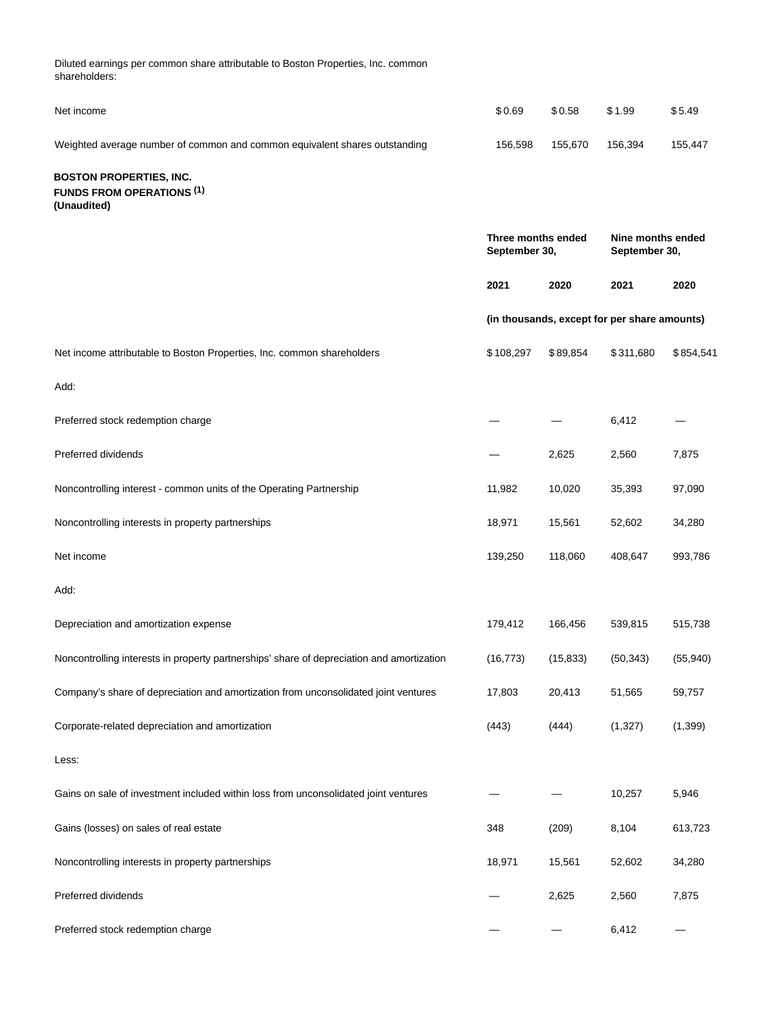Diluted earnings per common share attributable to Boston Properties, Inc. common shareholders:

| Net income                                                                                | \$0.69                                                                    | \$0.58    | \$1.99                                       | \$5.49    |
|-------------------------------------------------------------------------------------------|---------------------------------------------------------------------------|-----------|----------------------------------------------|-----------|
| Weighted average number of common and common equivalent shares outstanding                | 156,598                                                                   | 155,670   | 156,394                                      | 155,447   |
| <b>BOSTON PROPERTIES, INC.</b><br><b>FUNDS FROM OPERATIONS (1)</b><br>(Unaudited)         |                                                                           |           |                                              |           |
|                                                                                           | Three months ended<br>Nine months ended<br>September 30,<br>September 30, |           |                                              |           |
|                                                                                           | 2021                                                                      | 2020      | 2021                                         | 2020      |
|                                                                                           |                                                                           |           | (in thousands, except for per share amounts) |           |
| Net income attributable to Boston Properties, Inc. common shareholders                    | \$108,297                                                                 | \$89,854  | \$311,680                                    | \$854,541 |
| Add:                                                                                      |                                                                           |           |                                              |           |
| Preferred stock redemption charge                                                         |                                                                           |           | 6,412                                        |           |
| Preferred dividends                                                                       |                                                                           | 2,625     | 2,560                                        | 7,875     |
| Noncontrolling interest - common units of the Operating Partnership                       | 11,982                                                                    | 10,020    | 35,393                                       | 97,090    |
| Noncontrolling interests in property partnerships                                         | 18,971                                                                    | 15,561    | 52,602                                       | 34,280    |
| Net income                                                                                | 139,250                                                                   | 118,060   | 408,647                                      | 993,786   |
| Add:                                                                                      |                                                                           |           |                                              |           |
| Depreciation and amortization expense                                                     | 179,412                                                                   | 166,456   | 539,815                                      | 515,738   |
| Noncontrolling interests in property partnerships' share of depreciation and amortization | (16, 773)                                                                 | (15, 833) | (50, 343)                                    | (55, 940) |
| Company's share of depreciation and amortization from unconsolidated joint ventures       | 17,803                                                                    | 20,413    | 51,565                                       | 59,757    |
| Corporate-related depreciation and amortization                                           | (443)                                                                     | (444)     | (1,327)                                      | (1, 399)  |
| Less:                                                                                     |                                                                           |           |                                              |           |
| Gains on sale of investment included within loss from unconsolidated joint ventures       |                                                                           |           | 10,257                                       | 5,946     |
| Gains (losses) on sales of real estate                                                    | 348                                                                       | (209)     | 8,104                                        | 613,723   |
| Noncontrolling interests in property partnerships                                         | 18,971                                                                    | 15,561    | 52,602                                       | 34,280    |
| Preferred dividends                                                                       |                                                                           | 2,625     | 2,560                                        | 7,875     |
| Preferred stock redemption charge                                                         |                                                                           |           | 6,412                                        |           |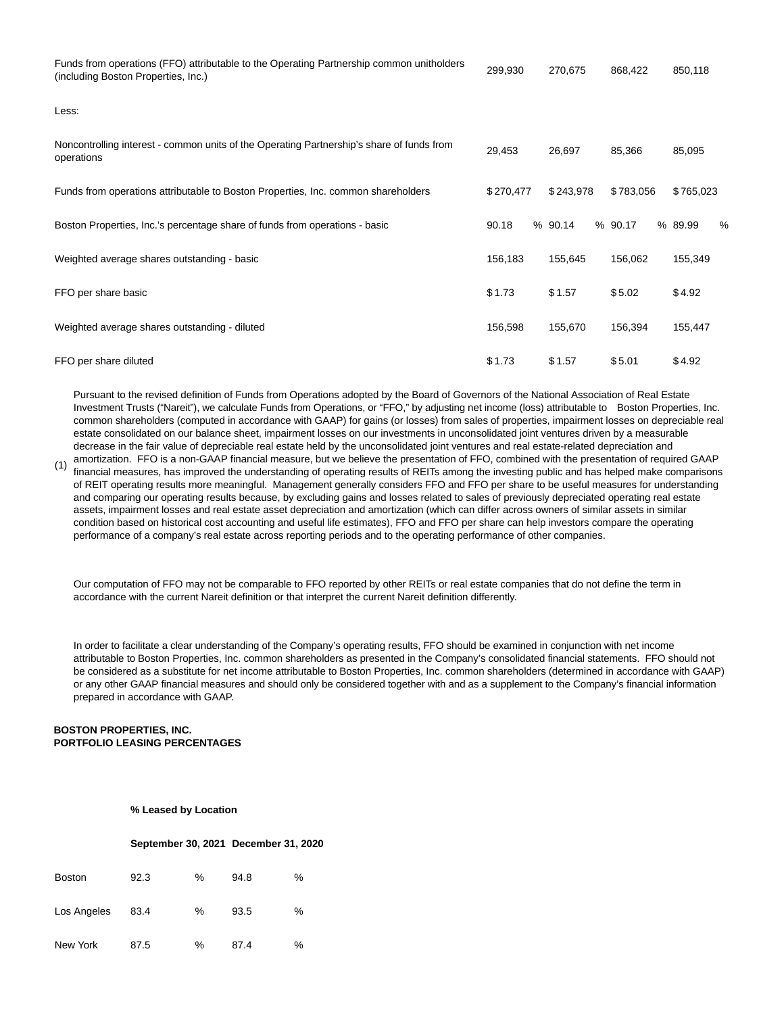| Funds from operations (FFO) attributable to the Operating Partnership common unitholders<br>(including Boston Properties, Inc.) | 299,930   | 270,675   | 868,422   | 850,118      |
|---------------------------------------------------------------------------------------------------------------------------------|-----------|-----------|-----------|--------------|
| Less:                                                                                                                           |           |           |           |              |
| Noncontrolling interest - common units of the Operating Partnership's share of funds from<br>operations                         | 29,453    | 26,697    | 85,366    | 85,095       |
| Funds from operations attributable to Boston Properties, Inc. common shareholders                                               | \$270,477 | \$243,978 | \$783,056 | \$765,023    |
| Boston Properties, Inc.'s percentage share of funds from operations - basic                                                     | 90.18     | % 90.14   | % 90.17   | % 89.99<br>% |
| Weighted average shares outstanding - basic                                                                                     | 156,183   | 155,645   | 156,062   | 155,349      |
| FFO per share basic                                                                                                             | \$1.73    | \$1.57    | \$5.02    | \$4.92       |
| Weighted average shares outstanding - diluted                                                                                   | 156,598   | 155,670   | 156,394   | 155,447      |
| FFO per share diluted                                                                                                           | \$1.73    | \$1.57    | \$5.01    | \$4.92       |

Pursuant to the revised definition of Funds from Operations adopted by the Board of Governors of the National Association of Real Estate Investment Trusts ("Nareit"), we calculate Funds from Operations, or "FFO," by adjusting net income (loss) attributable to Boston Properties, Inc. common shareholders (computed in accordance with GAAP) for gains (or losses) from sales of properties, impairment losses on depreciable real estate consolidated on our balance sheet, impairment losses on our investments in unconsolidated joint ventures driven by a measurable decrease in the fair value of depreciable real estate held by the unconsolidated joint ventures and real estate-related depreciation and

(1) amortization. FFO is a non-GAAP financial measure, but we believe the presentation of FFO, combined with the presentation of required GAAP financial measures, has improved the understanding of operating results of REITs among the investing public and has helped make comparisons of REIT operating results more meaningful. Management generally considers FFO and FFO per share to be useful measures for understanding and comparing our operating results because, by excluding gains and losses related to sales of previously depreciated operating real estate assets, impairment losses and real estate asset depreciation and amortization (which can differ across owners of similar assets in similar condition based on historical cost accounting and useful life estimates), FFO and FFO per share can help investors compare the operating performance of a company's real estate across reporting periods and to the operating performance of other companies.

Our computation of FFO may not be comparable to FFO reported by other REITs or real estate companies that do not define the term in accordance with the current Nareit definition or that interpret the current Nareit definition differently.

In order to facilitate a clear understanding of the Company's operating results, FFO should be examined in conjunction with net income attributable to Boston Properties, Inc. common shareholders as presented in the Company's consolidated financial statements. FFO should not be considered as a substitute for net income attributable to Boston Properties, Inc. common shareholders (determined in accordance with GAAP) or any other GAAP financial measures and should only be considered together with and as a supplement to the Company's financial information prepared in accordance with GAAP.

# **BOSTON PROPERTIES, INC. PORTFOLIO LEASING PERCENTAGES**

**% Leased by Location**

#### **September 30, 2021 December 31, 2020**

| <b>Boston</b> | 92.3 | % | 94.8 | % |
|---------------|------|---|------|---|
| Los Angeles   | 83.4 | ℅ | 93.5 | % |
| New York      | 87.5 | % | 87.4 | % |